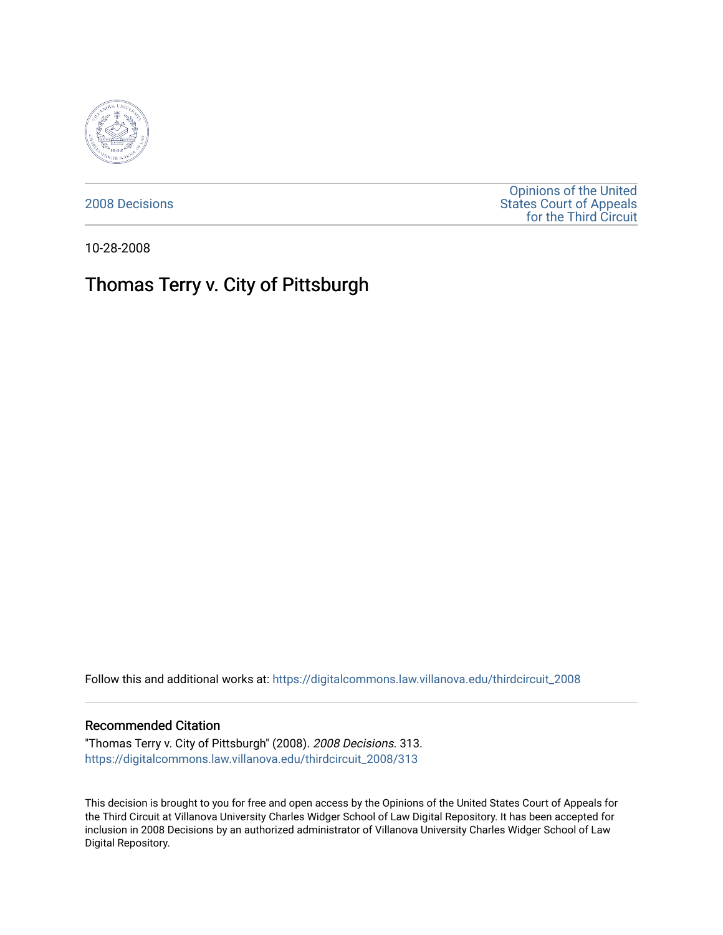

[2008 Decisions](https://digitalcommons.law.villanova.edu/thirdcircuit_2008)

[Opinions of the United](https://digitalcommons.law.villanova.edu/thirdcircuit)  [States Court of Appeals](https://digitalcommons.law.villanova.edu/thirdcircuit)  [for the Third Circuit](https://digitalcommons.law.villanova.edu/thirdcircuit) 

10-28-2008

# Thomas Terry v. City of Pittsburgh

Follow this and additional works at: [https://digitalcommons.law.villanova.edu/thirdcircuit\\_2008](https://digitalcommons.law.villanova.edu/thirdcircuit_2008?utm_source=digitalcommons.law.villanova.edu%2Fthirdcircuit_2008%2F313&utm_medium=PDF&utm_campaign=PDFCoverPages) 

#### Recommended Citation

"Thomas Terry v. City of Pittsburgh" (2008). 2008 Decisions. 313. [https://digitalcommons.law.villanova.edu/thirdcircuit\\_2008/313](https://digitalcommons.law.villanova.edu/thirdcircuit_2008/313?utm_source=digitalcommons.law.villanova.edu%2Fthirdcircuit_2008%2F313&utm_medium=PDF&utm_campaign=PDFCoverPages)

This decision is brought to you for free and open access by the Opinions of the United States Court of Appeals for the Third Circuit at Villanova University Charles Widger School of Law Digital Repository. It has been accepted for inclusion in 2008 Decisions by an authorized administrator of Villanova University Charles Widger School of Law Digital Repository.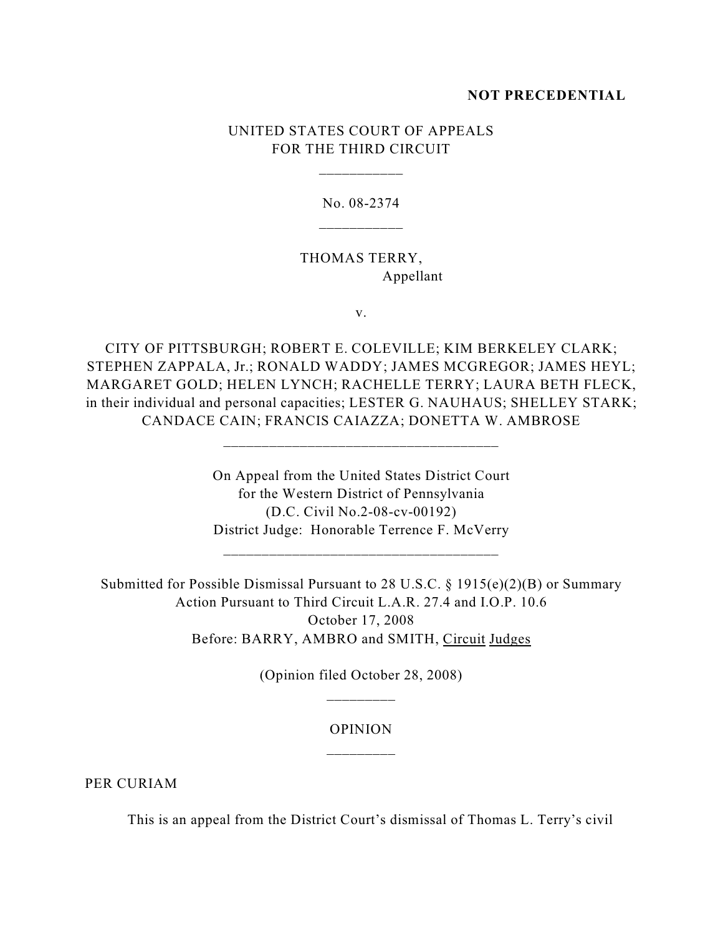### **NOT PRECEDENTIAL**

## UNITED STATES COURT OF APPEALS FOR THE THIRD CIRCUIT

\_\_\_\_\_\_\_\_\_\_\_

No. 08-2374

THOMAS TERRY, Appellant

v.

CITY OF PITTSBURGH; ROBERT E. COLEVILLE; KIM BERKELEY CLARK; STEPHEN ZAPPALA, Jr.; RONALD WADDY; JAMES MCGREGOR; JAMES HEYL; MARGARET GOLD; HELEN LYNCH; RACHELLE TERRY; LAURA BETH FLECK, in their individual and personal capacities; LESTER G. NAUHAUS; SHELLEY STARK; CANDACE CAIN; FRANCIS CAIAZZA; DONETTA W. AMBROSE

\_\_\_\_\_\_\_\_\_\_\_\_\_\_\_\_\_\_\_\_\_\_\_\_\_\_\_\_\_\_\_\_\_\_\_\_

On Appeal from the United States District Court for the Western District of Pennsylvania (D.C. Civil No.2-08-cv-00192) District Judge: Honorable Terrence F. McVerry

\_\_\_\_\_\_\_\_\_\_\_\_\_\_\_\_\_\_\_\_\_\_\_\_\_\_\_\_\_\_\_\_\_\_\_\_

Submitted for Possible Dismissal Pursuant to 28 U.S.C. § 1915(e)(2)(B) or Summary Action Pursuant to Third Circuit L.A.R. 27.4 and I.O.P. 10.6 October 17, 2008 Before: BARRY, AMBRO and SMITH, Circuit Judges

> (Opinion filed October 28, 2008) \_\_\_\_\_\_\_\_\_

## OPINION \_\_\_\_\_\_\_\_\_

PER CURIAM

This is an appeal from the District Court's dismissal of Thomas L. Terry's civil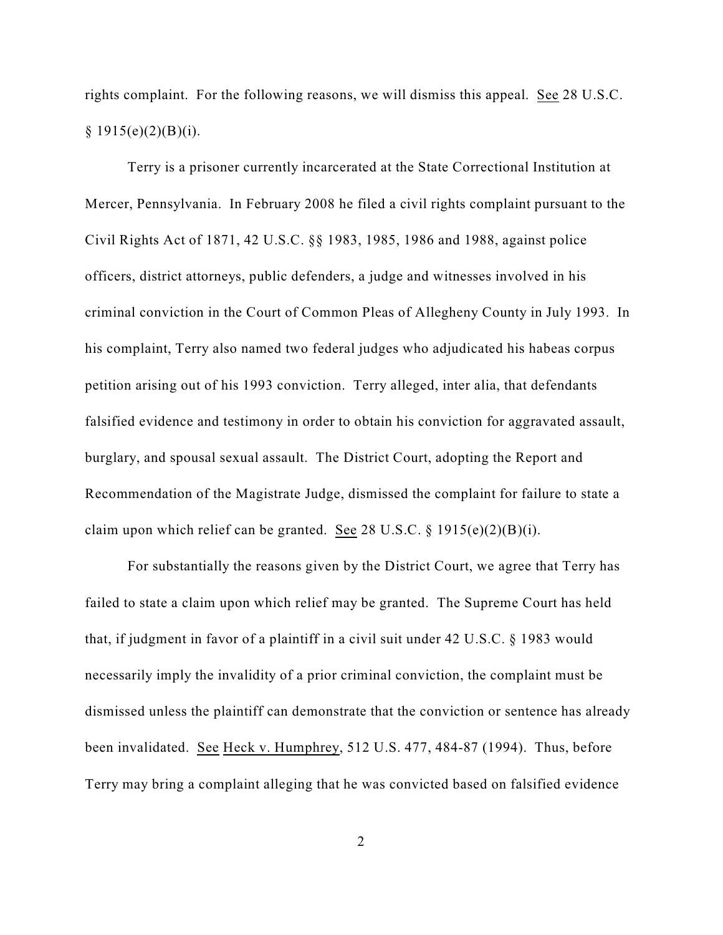rights complaint. For the following reasons, we will dismiss this appeal. See 28 U.S.C.  $§ 1915(e)(2)(B)(i).$ 

Terry is a prisoner currently incarcerated at the State Correctional Institution at Mercer, Pennsylvania. In February 2008 he filed a civil rights complaint pursuant to the Civil Rights Act of 1871, 42 U.S.C. §§ 1983, 1985, 1986 and 1988, against police officers, district attorneys, public defenders, a judge and witnesses involved in his criminal conviction in the Court of Common Pleas of Allegheny County in July 1993. In his complaint, Terry also named two federal judges who adjudicated his habeas corpus petition arising out of his 1993 conviction. Terry alleged, inter alia, that defendants falsified evidence and testimony in order to obtain his conviction for aggravated assault, burglary, and spousal sexual assault. The District Court, adopting the Report and Recommendation of the Magistrate Judge, dismissed the complaint for failure to state a claim upon which relief can be granted. See 28 U.S.C.  $\S$  1915(e)(2)(B)(i).

For substantially the reasons given by the District Court, we agree that Terry has failed to state a claim upon which relief may be granted. The Supreme Court has held that, if judgment in favor of a plaintiff in a civil suit under 42 U.S.C. § 1983 would necessarily imply the invalidity of a prior criminal conviction, the complaint must be dismissed unless the plaintiff can demonstrate that the conviction or sentence has already been invalidated. See Heck v. Humphrey, 512 U.S. 477, 484-87 (1994). Thus, before Terry may bring a complaint alleging that he was convicted based on falsified evidence